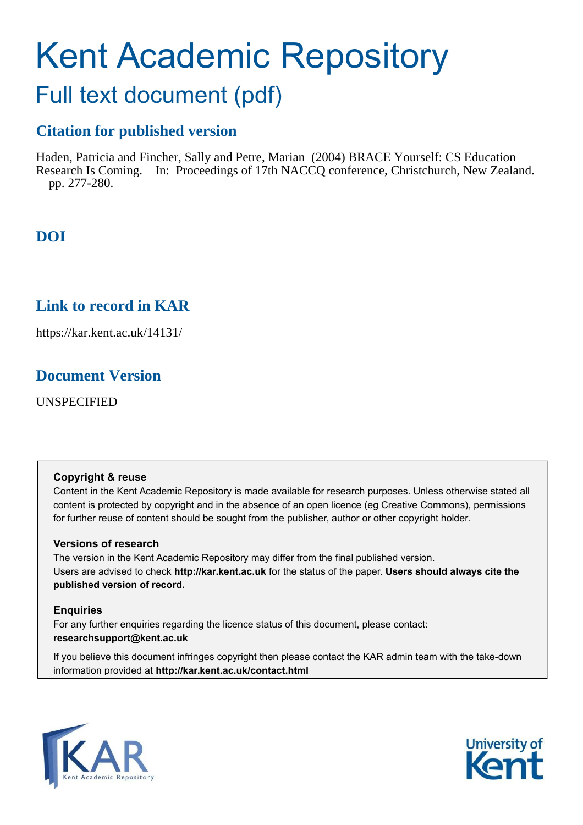# Kent Academic Repository

## Full text document (pdf)

## **Citation for published version**

Haden, Patricia and Fincher, Sally and Petre, Marian (2004) BRACE Yourself: CS Education Research Is Coming. In: Proceedings of 17th NACCQ conference, Christchurch, New Zealand. pp. 277-280.

## **DOI**

## **Link to record in KAR**

https://kar.kent.ac.uk/14131/

### **Document Version**

UNSPECIFIED

#### **Copyright & reuse**

Content in the Kent Academic Repository is made available for research purposes. Unless otherwise stated all content is protected by copyright and in the absence of an open licence (eg Creative Commons), permissions for further reuse of content should be sought from the publisher, author or other copyright holder.

#### **Versions of research**

The version in the Kent Academic Repository may differ from the final published version. Users are advised to check **http://kar.kent.ac.uk** for the status of the paper. **Users should always cite the published version of record.**

#### **Enquiries**

For any further enquiries regarding the licence status of this document, please contact: **researchsupport@kent.ac.uk**

If you believe this document infringes copyright then please contact the KAR admin team with the take-down information provided at **http://kar.kent.ac.uk/contact.html**



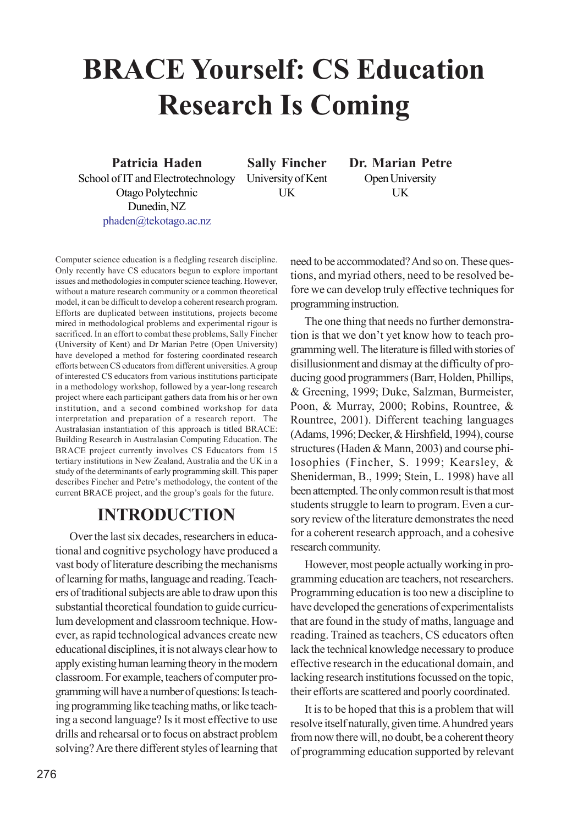## **BRACE Yourself: CS Education Research Is Coming**

**Patricia Haden** School of IT and Electrotechnology Otago Polytechnic Dunedin, NZ phaden@tekotago.ac.nz

**Sally Fincher** University of Kent UK

**Dr. Marian Petre** Open University UK

Computer science education is a fledgling research discipline. Only recently have CS educators begun to explore important issues and methodologies in computer science teaching. However, without a mature research community or a common theoretical model, it can be difficult to develop a coherent research program. Efforts are duplicated between institutions, projects become mired in methodological problems and experimental rigour is sacrificed. In an effort to combat these problems, Sally Fincher (University of Kent) and Dr Marian Petre (Open University) have developed a method for fostering coordinated research efforts between CS educators from different universities. A group of interested CS educators from various institutions participate in a methodology workshop, followed by a year-long research project where each participant gathers data from his or her own institution, and a second combined workshop for data interpretation and preparation of a research report. The Australasian instantiation of this approach is titled BRACE: Building Research in Australasian Computing Education. The BRACE project currently involves CS Educators from 15 tertiary institutions in New Zealand, Australia and the UK in a study of the determinants of early programming skill. This paper describes Fincher and Petre's methodology, the content of the current BRACE project, and the group's goals for the future.

## **INTRODUCTION**

Over the last six decades, researchers in educational and cognitive psychology have produced a vast body of literature describing the mechanisms of learning for maths, language and reading. Teachers of traditional subjects are able to draw upon this substantial theoretical foundation to guide curriculum development and classroom technique. However, as rapid technological advances create new educational disciplines, it is not always clear how to apply existing human learning theory in the modern classroom. For example, teachers of computer programming will have a number of questions: Is teaching programming like teaching maths, or like teaching a second language? Is it most effective to use drills and rehearsal or to focus on abstract problem solving? Are there different styles of learning that need to be accommodated? And so on. These questions, and myriad others, need to be resolved before we can develop truly effective techniques for programming instruction.

The one thing that needs no further demonstration is that we don't yet know how to teach programming well. The literature is filled with stories of disillusionment and dismay at the difficulty of producing good programmers (Barr, Holden, Phillips, & Greening, 1999; Duke, Salzman, Burmeister, Poon, & Murray, 2000; Robins, Rountree, & Rountree, 2001). Different teaching languages (Adams, 1996; Decker, & Hirshfield, 1994), course structures (Haden & Mann, 2003) and course philosophies (Fincher, S. 1999; Kearsley, & Sheniderman, B., 1999; Stein, L. 1998) have all been attempted. The only common result is that most students struggle to learn to program. Even a cursory review of the literature demonstrates the need for a coherent research approach, and a cohesive research community.

However, most people actually working in programming education are teachers, not researchers. Programming education is too new a discipline to have developed the generations of experimentalists that are found in the study of maths, language and reading. Trained as teachers, CS educators often lack the technical knowledge necessary to produce effective research in the educational domain, and lacking research institutions focussed on the topic, their efforts are scattered and poorly coordinated.

It is to be hoped that this is a problem that will resolve itself naturally, given time. A hundred years from now there will, no doubt, be a coherent theory of programming education supported by relevant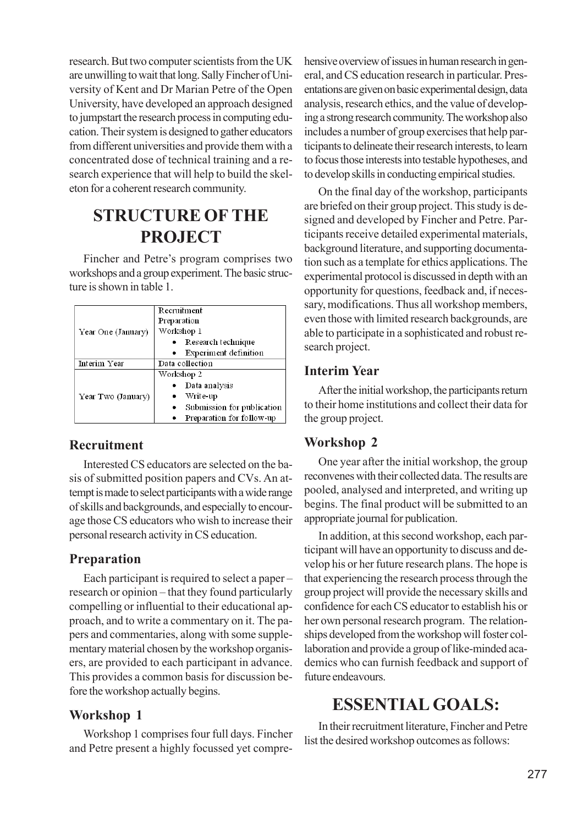research. But two computer scientists from the UK are unwilling to wait that long. Sally Fincher of University of Kent and Dr Marian Petre of the Open University, have developed an approach designed to jumpstart the research process in computing education. Their system is designed to gather educators from different universities and provide them with a concentrated dose of technical training and a research experience that will help to build the skeleton for a coherent research community.

## **STRUCTURE OF THE PROJECT**

Fincher and Petre's program comprises two workshops and a group experiment. The basic structure is shown in table 1.

| Year One (January) | Recruitment                |
|--------------------|----------------------------|
|                    | Preparation                |
|                    | Workshop 1                 |
|                    | Research technique         |
|                    | Experiment definition      |
| Interim Year       | Data collection            |
| Year Two (January) | Workshop 2                 |
|                    | Data analysis              |
|                    | Write-up                   |
|                    | Submission for publication |
|                    | Preparation for follow-up  |

#### **Recruitment**

Interested CS educators are selected on the basis of submitted position papers and CVs. An attempt is made to select participants with a wide range of skills and backgrounds, and especially to encourage those CS educators who wish to increase their personal research activity in CS education.

#### **Preparation**

Each participant is required to select a paper  $-\frac{1}{2}$ research or opinion – that they found particularly compelling or influential to their educational approach, and to write a commentary on it. The papers and commentaries, along with some supplementary material chosen by the workshop organisers, are provided to each participant in advance. This provides a common basis for discussion before the workshop actually begins.

#### **Workshop 1**

Workshop 1 comprises four full days. Fincher and Petre present a highly focussed yet comprehensive overview of issues in human research in general, and CS education research in particular. Presentations are given on basic experimental design, data analysis, research ethics, and the value of developing a strong research community. The workshop also includes a number of group exercises that help participants to delineate their research interests, to learn to focus those interests into testable hypotheses, and to develop skills in conducting empirical studies.

On the final day of the workshop, participants are briefed on their group project. This study is designed and developed by Fincher and Petre. Participants receive detailed experimental materials, background literature, and supporting documentation such as a template for ethics applications. The experimental protocol is discussed in depth with an opportunity for questions, feedback and, if necessary, modifications. Thus all workshop members, even those with limited research backgrounds, are able to participate in a sophisticated and robust research project.

#### **Interim Year**

After the initial workshop, the participants return to their home institutions and collect their data for the group project.

#### **Workshop 2**

One year after the initial workshop, the group reconvenes with their collected data. The results are pooled, analysed and interpreted, and writing up begins. The final product will be submitted to an appropriate journal for publication.

In addition, at this second workshop, each participant will have an opportunity to discuss and develop his or her future research plans. The hope is that experiencing the research process through the group project will provide the necessary skills and confidence for each CS educator to establish his or her own personal research program. The relationships developed from the workshop will foster collaboration and provide a group of like-minded academics who can furnish feedback and support of future endeavours.

## **ESSENTIAL GOALS:**

In their recruitment literature, Fincher and Petre list the desired workshop outcomes as follows: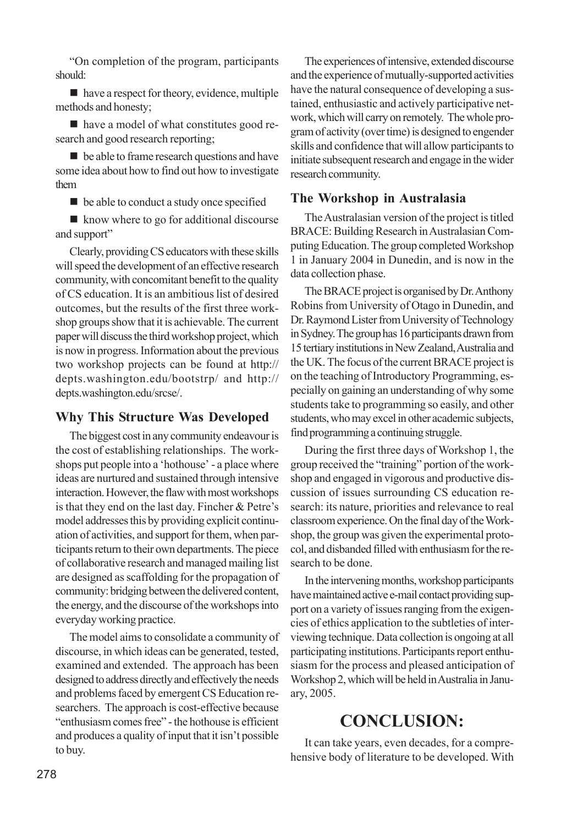ìOn completion of the program, participants should:

■ have a respect for theory, evidence, multiple methods and honesty;

̈ have a model of what constitutes good research and good research reporting;

̈ be able to frame research questions and have some idea about how to find out how to investigate them

 $\blacksquare$  be able to conduct a study once specified

■ know where to go for additional discourse and support"

Clearly, providing CS educators with these skills will speed the development of an effective research community, with concomitant benefit to the quality of CS education. It is an ambitious list of desired outcomes, but the results of the first three workshop groups show that it is achievable. The current paper will discuss the third workshop project, which is now in progress. Information about the previous two workshop projects can be found at http:// depts.washington.edu/bootstrp/ and http:// depts.washington.edu/srcse/.

#### **Why This Structure Was Developed**

The biggest cost in any community endeavour is the cost of establishing relationships. The workshops put people into a 'hothouse' - a place where ideas are nurtured and sustained through intensive interaction. However, the flaw with most workshops is that they end on the last day. Fincher  $&$  Petre's model addresses this by providing explicit continuation of activities, and support for them, when participants return to their own departments. The piece of collaborative research and managed mailing list are designed as scaffolding for the propagation of community: bridging between the delivered content, the energy, and the discourse of the workshops into everyday working practice.

The model aims to consolidate a community of discourse, in which ideas can be generated, tested, examined and extended. The approach has been designed to address directly and effectively the needs and problems faced by emergent CS Education researchers. The approach is cost-effective because "enthusiasm comes free" - the hothouse is efficient and produces a quality of input that it isn't possible to buy.

The experiences of intensive, extended discourse and the experience of mutually-supported activities have the natural consequence of developing a sustained, enthusiastic and actively participative network, which will carry on remotely. The whole program of activity (over time) is designed to engender skills and confidence that will allow participants to initiate subsequent research and engage in the wider research community.

#### **The Workshop in Australasia**

The Australasian version of the project is titled BRACE: Building Research in Australasian Computing Education. The group completed Workshop 1 in January 2004 in Dunedin, and is now in the data collection phase.

The BRACE project is organised by Dr. Anthony Robins from University of Otago in Dunedin, and Dr. Raymond Lister from University of Technology in Sydney. The group has 16 participants drawn from 15 tertiary institutions in New Zealand, Australia and the UK. The focus of the current BRACE project is on the teaching of Introductory Programming, especially on gaining an understanding of why some students take to programming so easily, and other students, who may excel in other academic subjects, find programming a continuing struggle.

During the first three days of Workshop 1, the group received the "training" portion of the workshop and engaged in vigorous and productive discussion of issues surrounding CS education research: its nature, priorities and relevance to real classroom experience. On the final day of the Workshop, the group was given the experimental protocol, and disbanded filled with enthusiasm for the research to be done.

In the intervening months, workshop participants have maintained active e-mail contact providing support on a variety of issues ranging from the exigencies of ethics application to the subtleties of interviewing technique. Data collection is ongoing at all participating institutions. Participants report enthusiasm for the process and pleased anticipation of Workshop 2, which will be held in Australia in January, 2005.

## **CONCLUSION:**

It can take years, even decades, for a comprehensive body of literature to be developed. With